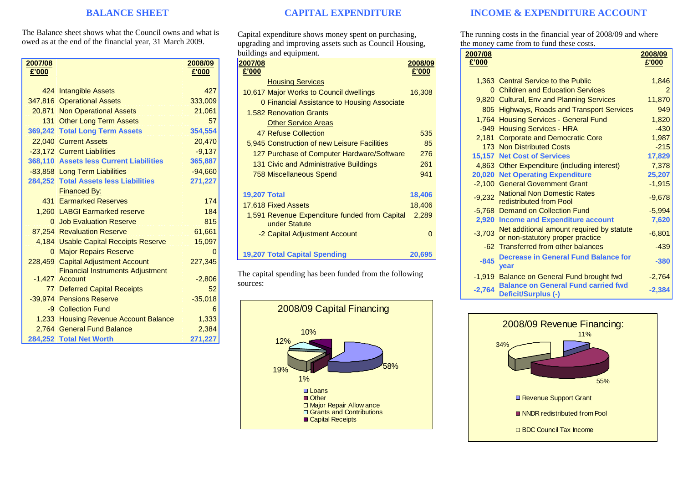## **BALANCE SHEET**

The Balance sheet shows what the Council owns and what is owed as at the end of the financial year, 31 March 2009.

| 2007/08 |                                         | 2008/09      |
|---------|-----------------------------------------|--------------|
| £'000   |                                         | £'000        |
|         | 424 Intangible Assets                   | 427          |
|         | 347,816 Operational Assets              | 333,009      |
|         | 20,871 Non Operational Assets           | 21,061       |
|         | 131 Other Long Term Assets              | 57           |
|         | 369,242 Total Long Term Assets          | 354,554      |
|         | 22,040 Current Assets                   | 20,470       |
|         | -23,172 Current Liabilities             | $-9,137$     |
|         | 368,110 Assets less Current Liabilities | 365,887      |
|         | -83,858 Long Term Liabilities           | $-94,660$    |
|         | 284,252 Total Assets less Liabilities   | 271,227      |
|         | <b>Financed By:</b>                     |              |
|         | 431 Earmarked Reserves                  | 174          |
|         | 1,260 LABGI Earmarked reserve           | 184          |
|         | 0 Job Evaluation Reserve                | 815          |
|         | 87,254 Revaluation Reserve              | 61,661       |
|         | 4,184 Usable Capital Receipts Reserve   | 15,097       |
|         | 0 Major Repairs Reserve                 | $\mathbf{0}$ |
|         | 228,459 Capital Adjustment Account      | 227,345      |
|         | <b>Financial Instruments Adjustment</b> |              |
|         | -1.427 Account                          | $-2,806$     |
|         | <b>77 Deferred Capital Receipts</b>     | 52           |
|         | -39,974 Pensions Reserve                | $-35,018$    |
|         | -9 Collection Fund                      | 6            |
|         | 1,233 Housing Revenue Account Balance   | 1,333        |
|         | 2,764 General Fund Balance              | 2,384        |
|         | 284,252 Total Net Worth                 | 271,227      |

# **CAPITAL EXPENDITURE**

Capital expenditure shows money spent on purchasing, upgrading and improving assets such as Council Housing, buildings and equipment.

| 2007/08             |                                                                | 2008/09 |
|---------------------|----------------------------------------------------------------|---------|
| £'000               |                                                                | £'000   |
|                     | <b>Housing Services</b>                                        |         |
|                     | 10,617 Major Works to Council dwellings                        | 16,308  |
|                     | 0 Financial Assistance to Housing Associate                    |         |
|                     | <b>1,582 Renovation Grants</b>                                 |         |
|                     | <b>Other Service Areas</b>                                     |         |
|                     | 47 Refuse Collection                                           | 535     |
|                     | 5,945 Construction of new Leisure Facilities                   | 85      |
|                     | 127 Purchase of Computer Hardware/Software                     | 276     |
|                     | 131 Civic and Administrative Buildings                         | 261     |
|                     | <b>758 Miscellaneous Spend</b>                                 | 941     |
|                     |                                                                |         |
| <b>19,207 Total</b> |                                                                | 18,406  |
|                     | 17,618 Fixed Assets                                            | 18,406  |
|                     | 1,591 Revenue Expenditure funded from Capital<br>under Statute | 2,289   |
|                     | -2 Capital Adjustment Account                                  | 0       |
|                     |                                                                |         |
|                     | <b>19,207 Total Capital Spending</b>                           | 20,695  |
|                     |                                                                |         |

The capital spending has been funded from the following sources:



## **INCOME & EXPENDITURE ACCOUNT**

The running costs in the financial year of 2008/09 and where the money came from to fund these costs.

| 2007/08  |                                                                               | 2008/09  |
|----------|-------------------------------------------------------------------------------|----------|
| £'000    |                                                                               | £'000    |
|          |                                                                               |          |
|          | 1,363 Central Service to the Public                                           | 1,846    |
|          | 0 Children and Education Services                                             | 2        |
|          | 9,820 Cultural, Env and Planning Services                                     | 11,870   |
|          | 805 Highways, Roads and Transport Services                                    | 949      |
|          | 1,764 Housing Services - General Fund                                         | 1,820    |
|          | -949 Housing Services - HRA                                                   | $-430$   |
|          | 2,181 Corporate and Democratic Core                                           | 1,987    |
|          | 173 Non Distributed Costs                                                     | $-215$   |
|          | <b>15,157 Net Cost of Services</b>                                            | 17,829   |
|          | 4,863 Other Expenditure (including interest)                                  | 7,378    |
|          | <b>20,020 Net Operating Expenditure</b>                                       | 25,207   |
|          | -2,100 General Government Grant                                               | $-1,915$ |
| $-9,232$ | <b>National Non Domestic Rates</b><br>redistributed from Pool                 | $-9,678$ |
|          | -5,768 Demand on Collection Fund                                              | $-5,994$ |
|          | 2,920 Income and Expenditure account                                          | 7,620    |
| $-3,703$ | Net additional amount required by statute<br>or non-statutory proper practice | $-6,801$ |
|          | -62 Transferred from other balances                                           | $-439$   |
| $-845$   | <b>Decrease in General Fund Balance for</b><br>year                           | $-380$   |
|          | -1,919 Balance on General Fund brought fwd                                    | $-2,764$ |
| $-2,764$ | <b>Balance on General Fund carried fwd</b><br>Deficit/Surplus (-)             | $-2,384$ |